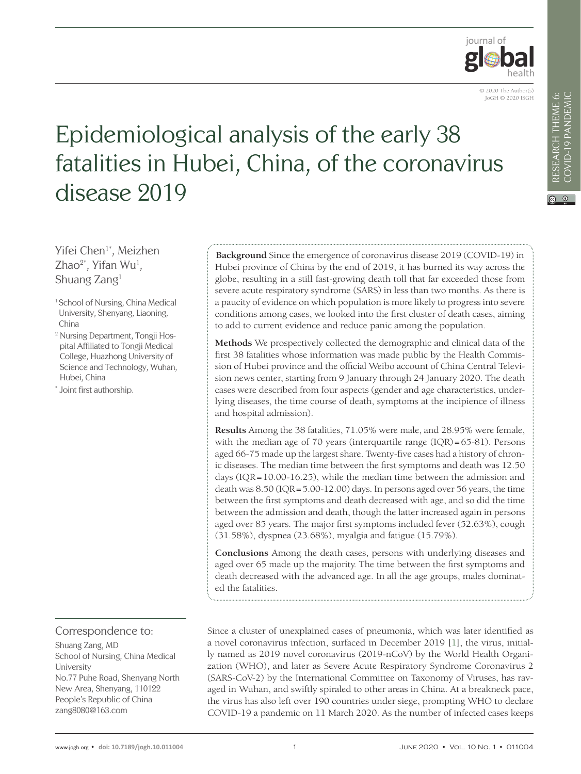

# Epidemiological analysis of the early 38 fatalities in Hubei, China, of the coronavirus disease 2019

Yifei Chen<sup>1\*</sup>, Meizhen  $Z$ hao $^{2*}$ , Yifan Wu<sup>1</sup>, Shuang Zang1

- <sup>1</sup> School of Nursing, China Medical University, Shenyang, Liaoning, China
- <sup>2</sup> Nursing Department, Tongji Hospital Affiliated to Tongji Medical College, Huazhong University of Science and Technology, Wuhan, Hubei, China
- \* Joint first authorship.

**Background** Since the emergence of coronavirus disease 2019 (COVID-19) in Hubei province of China by the end of 2019, it has burned its way across the globe, resulting in a still fast-growing death toll that far exceeded those from severe acute respiratory syndrome (SARS) in less than two months. As there is a paucity of evidence on which population is more likely to progress into severe conditions among cases, we looked into the first cluster of death cases, aiming to add to current evidence and reduce panic among the population.

**Methods** We prospectively collected the demographic and clinical data of the first 38 fatalities whose information was made public by the Health Commission of Hubei province and the official Weibo account of China Central Television news center, starting from 9 January through 24 January 2020. The death cases were described from four aspects (gender and age characteristics, underlying diseases, the time course of death, symptoms at the incipience of illness and hospital admission).

**Results** Among the 38 fatalities, 71.05% were male, and 28.95% were female, with the median age of 70 years (interquartile range (IQR)=65-81). Persons aged 66-75 made up the largest share. Twenty-five cases had a history of chronic diseases. The median time between the first symptoms and death was 12.50 days (IQR=10.00-16.25), while the median time between the admission and death was 8.50 (IQR=5.00-12.00) days. In persons aged over 56 years, the time between the first symptoms and death decreased with age, and so did the time between the admission and death, though the latter increased again in persons aged over 85 years. The major first symptoms included fever (52.63%), cough (31.58%), dyspnea (23.68%), myalgia and fatigue (15.79%).

**Conclusions** Among the death cases, persons with underlying diseases and aged over 65 made up the majority. The time between the first symptoms and death decreased with the advanced age. In all the age groups, males dominated the fatalities.

#### Correspondence to:

Shuang Zang, MD School of Nursing, China Medical University No.77 Puhe Road, Shenyang North New Area, Shenyang, 110122 People's Republic of China zang8080@163.com

Since a cluster of unexplained cases of pneumonia, which was later identified as a novel coronavirus infection, surfaced in December 2019 [[1](#page-6-0)], the virus, initially named as 2019 novel coronavirus (2019-nCoV) by the World Health Organization (WHO), and later as Severe Acute Respiratory Syndrome Coronavirus 2 (SARS-CoV-2) by the International Committee on Taxonomy of Viruses, has ravaged in Wuhan, and swiftly spiraled to other areas in China. At a breakneck pace, the virus has also left over 190 countries under siege, prompting WHO to declare COVID-19 a pandemic on 11 March 2020. As the number of infected cases keeps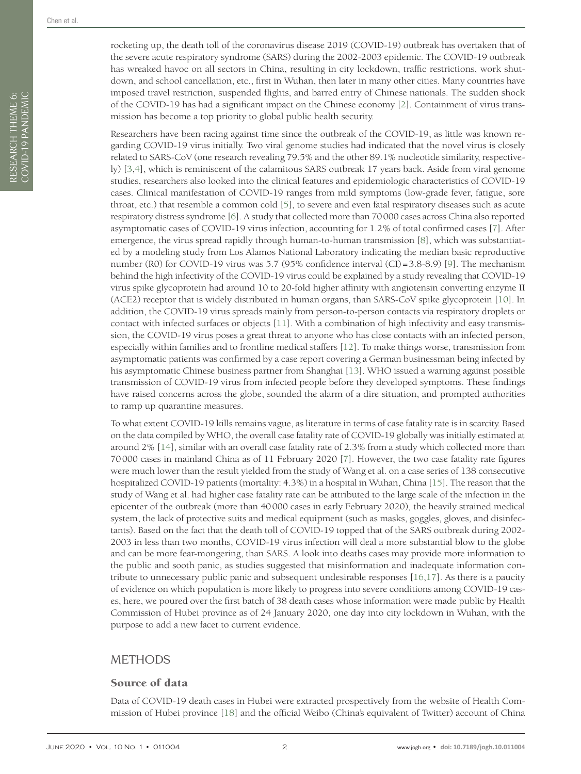RESEARCH THEME 6: COVID-19 PANDEMIC

RESEARCH THEME 6:<br>COVID-19 PANDEMIC

Researchers have been racing against time since the outbreak of the COVID-19, as little was known regarding COVID-19 virus initially. Two viral genome studies had indicated that the novel virus is closely related to SARS-CoV (one research revealing 79.5% and the other 89.1% nucleotide similarity, respectively) [[3](#page-6-2)[,4](#page-6-3)], which is reminiscent of the calamitous SARS outbreak 17 years back. Aside from viral genome studies, researchers also looked into the clinical features and epidemiologic characteristics of COVID-19 cases. Clinical manifestation of COVID-19 ranges from mild symptoms (low-grade fever, fatigue, sore throat, etc.) that resemble a common cold [[5](#page-6-4)], to severe and even fatal respiratory diseases such as acute respiratory distress syndrome [[6\]](#page-6-5). A study that collected more than 70000 cases across China also reported asymptomatic cases of COVID-19 virus infection, accounting for 1.2% of total confirmed cases [[7](#page-6-6)]. After emergence, the virus spread rapidly through human-to-human transmission [[8](#page-6-7)], which was substantiated by a modeling study from Los Alamos National Laboratory indicating the median basic reproductive number (R0) for COVID-1[9](#page-6-8) virus was 5.7 (95% confidence interval (CI)=3.8-8.9) [9]. The mechanism behind the high infectivity of the COVID-19 virus could be explained by a study revealing that COVID-19 virus spike glycoprotein had around 10 to 20-fold higher affinity with angiotensin converting enzyme II (ACE2) receptor that is widely distributed in human organs, than SARS-CoV spike glycoprotein [[10](#page-6-9)]. In addition, the COVID-19 virus spreads mainly from person-to-person contacts via respiratory droplets or contact with infected surfaces or objects [[11](#page-6-10)]. With a combination of high infectivity and easy transmission, the COVID-19 virus poses a great threat to anyone who has close contacts with an infected person, especially within families and to frontline medical staffers [[12\]](#page-6-11). To make things worse, transmission from asymptomatic patients was confirmed by a case report covering a German businessman being infected by his asymptomatic Chinese business partner from Shanghai [[13](#page-6-12)]. WHO issued a warning against possible transmission of COVID-19 virus from infected people before they developed symptoms. These findings have raised concerns across the globe, sounded the alarm of a dire situation, and prompted authorities to ramp up quarantine measures.

To what extent COVID-19 kills remains vague, as literature in terms of case fatality rate is in scarcity. Based on the data compiled by WHO, the overall case fatality rate of COVID-19 globally was initially estimated at around 2% [[14](#page-6-13)], similar with an overall case fatality rate of 2.3% from a study which collected more than 70000 cases in mainland China as of 11 February 2020 [\[7](#page-6-6)]. However, the two case fatality rate figures were much lower than the result yielded from the study of Wang et al. on a case series of 138 consecutive hospitalized COVID-19 patients (mortality: 4.3%) in a hospital in Wuhan, China [[15](#page-6-14)]. The reason that the study of Wang et al. had higher case fatality rate can be attributed to the large scale of the infection in the epicenter of the outbreak (more than 40000 cases in early February 2020), the heavily strained medical system, the lack of protective suits and medical equipment (such as masks, goggles, gloves, and disinfectants). Based on the fact that the death toll of COVID-19 topped that of the SARS outbreak during 2002- 2003 in less than two months, COVID-19 virus infection will deal a more substantial blow to the globe and can be more fear-mongering, than SARS. A look into deaths cases may provide more information to the public and sooth panic, as studies suggested that misinformation and inadequate information contribute to unnecessary public panic and subsequent undesirable responses [[16](#page-7-0),[17](#page-7-1)]. As there is a paucity of evidence on which population is more likely to progress into severe conditions among COVID-19 cases, here, we poured over the first batch of 38 death cases whose information were made public by Health Commission of Hubei province as of 24 January 2020, one day into city lockdown in Wuhan, with the purpose to add a new facet to current evidence.

## **METHODS**

## Source of data

Data of COVID-19 death cases in Hubei were extracted prospectively from the website of Health Commission of Hubei province [[18](#page-7-2)] and the official Weibo (China's equivalent of Twitter) account of China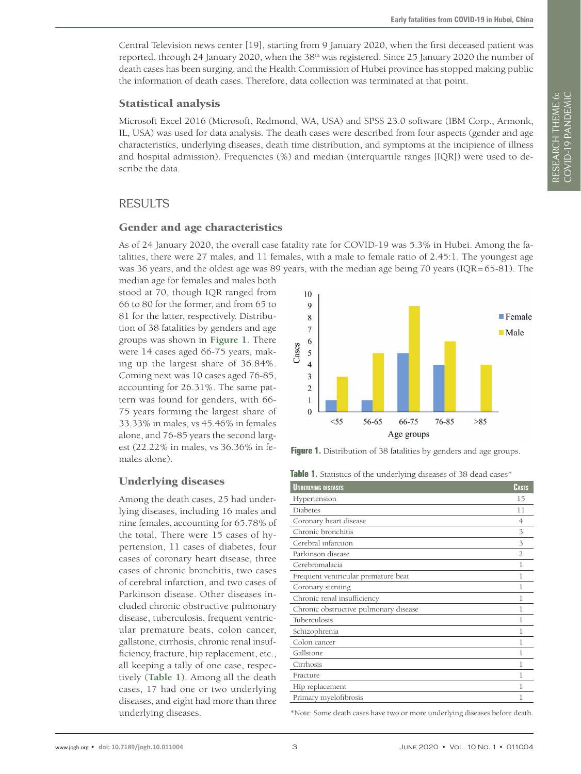Central Television news center [19], starting from 9 January 2020, when the first deceased patient was reported, through 24 January 2020, when the 38<sup>th</sup> was registered. Since 25 January 2020 the number of death cases has been surging, and the Health Commission of Hubei province has stopped making public the information of death cases. Therefore, data collection was terminated at that point.

#### Statistical analysis

Microsoft Excel 2016 (Microsoft, Redmond, WA, USA) and SPSS 23.0 software (IBM Corp., Armonk, IL, USA) was used for data analysis. The death cases were described from four aspects (gender and age characteristics, underlying diseases, death time distribution, and symptoms at the incipience of illness and hospital admission). Frequencies (%) and median (interquartile ranges [IQR]) were used to describe the data.

## RESULTS

#### Gender and age characteristics

As of 24 January 2020, the overall case fatality rate for COVID-19 was 5.3% in Hubei. Among the fatalities, there were 27 males, and 11 females, with a male to female ratio of 2.45:1. The youngest age was 36 years, and the oldest age was 89 years, with the median age being 70 years (IQR=65-81). The

median age for females and males both stood at 70, though IQR ranged from 66 to 80 for the former, and from 65 to 81 for the latter, respectively. Distribution of 38 fatalities by genders and age groups was shown in **[Figure 1](#page-2-0)**. There were 14 cases aged 66-75 years, making up the largest share of 36.84%. Coming next was 10 cases aged 76-85, accounting for 26.31%. The same pattern was found for genders, with 66- 75 years forming the largest share of 33.33% in males, vs 45.46% in females alone, and 76-85 years the second largest (22.22% in males, vs 36.36% in females alone).

<span id="page-2-0"></span>

**Figure 1.** Distribution of 38 fatalities by genders and age groups.

<span id="page-2-1"></span>**Table 1.** Statistics of the underlying diseases of 38 dead cases\*

| <b>UNDERLYING DISEASES</b>            | <b>CASES</b>  |
|---------------------------------------|---------------|
| Hypertension                          | 15            |
| Diabetes                              | 11            |
| Coronary heart disease                | 4             |
| Chronic bronchitis                    | 3             |
| Cerebral infarction                   | 3             |
| Parkinson disease                     | $\mathcal{L}$ |
| Cerebromalacia                        | 1             |
| Frequent ventricular premature beat   | 1             |
| Coronary stenting                     | 1             |
| Chronic renal insufficiency           | 1             |
| Chronic obstructive pulmonary disease | 1             |
| Tuberculosis                          | 1             |
| Schizophrenia                         | 1             |
| Colon cancer                          | 1             |
| Gallstone                             | 1             |
| Cirrhosis                             | 1             |
| Fracture                              | 1             |
| Hip replacement                       | 1             |
| Primary myelofibrosis                 | 1             |
|                                       |               |

\*Note: Some death cases have two or more underlying diseases before death.

Underlying diseases

Among the death cases, 25 had underlying diseases, including 16 males and nine females, accounting for 65.78% of the total. There were 15 cases of hypertension, 11 cases of diabetes, four cases of coronary heart disease, three cases of chronic bronchitis, two cases of cerebral infarction, and two cases of Parkinson disease. Other diseases included chronic obstructive pulmonary disease, tuberculosis, frequent ventricular premature beats, colon cancer, gallstone, cirrhosis, chronic renal insufficiency, fracture, hip replacement, etc., all keeping a tally of one case, respectively (**[Table 1](#page-2-1)**). Among all the death cases, 17 had one or two underlying diseases, and eight had more than three underlying diseases.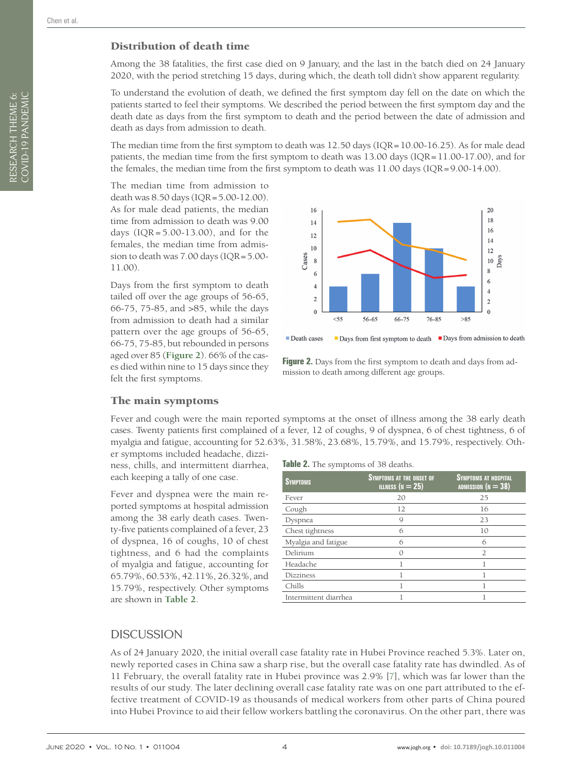RESEARCH THEME 6: COVID-19 PANDEMIC

RESEARCH THEME 6:<br>COVID-19 PANDEMIC

#### Distribution of death time

Among the 38 fatalities, the first case died on 9 January, and the last in the batch died on 24 January 2020, with the period stretching 15 days, during which, the death toll didn't show apparent regularity.

To understand the evolution of death, we defined the first symptom day fell on the date on which the patients started to feel their symptoms. We described the period between the first symptom day and the death date as days from the first symptom to death and the period between the date of admission and death as days from admission to death.

The median time from the first symptom to death was 12.50 days (IQR=10.00-16.25). As for male dead patients, the median time from the first symptom to death was 13.00 days (IQR=11.00-17.00), and for the females, the median time from the first symptom to death was 11.00 days (IQR=9.00-14.00).

The median time from admission to death was 8.50 days (IQR=5.00-12.00). As for male dead patients, the median time from admission to death was 9.00 days (IQR = 5.00-13.00), and for the females, the median time from admission to death was 7.00 days (IQR=5.00- 11.00).

Days from the first symptom to death tailed off over the age groups of 56-65, 66-75, 75-85, and >85, while the days from admission to death had a similar pattern over the age groups of 56-65, 66-75, 75-85, but rebounded in persons aged over 85 (**[Figure 2](#page-3-0)**). 66% of the cases died within nine to 15 days since they felt the first symptoms.

<span id="page-3-0"></span>

Death cases  $\blacksquare$  Days from first symptom to death  $\blacksquare$  Days from admission to death

<span id="page-3-2"></span>Figure 2. Days from the first symptom to death and days from admission to death among different age groups.

#### The main symptoms

Fever and cough were the main reported symptoms at the onset of illness among the 38 early death cases. Twenty patients first complained of a fever, 12 of coughs, 9 of dyspnea, 6 of chest tightness, 6 of myalgia and fatigue, accounting for 52.63%, 31.58%, 23.68%, 15.79%, and 15.79%, respectively. Oth-

er symptoms included headache, dizziness, chills, and intermittent diarrhea, each keeping a tally of one case.

Fever and dyspnea were the main reported symptoms at hospital admission among the 38 early death cases. Twenty-five patients complained of a fever, 23 of dyspnea, 16 of coughs, 10 of chest tightness, and 6 had the complaints of myalgia and fatigue, accounting for 65.79%, 60.53%, 42.11%, 26.32%, and 15.79%, respectively. Other symptoms are shown in **[Table 2](#page-3-1)**.

#### <span id="page-3-1"></span>**Table 2.** The symptoms of 38 deaths.

| <b>SYMPTOMS</b>       | <b>SYMPTOMS AT THE ONSET OF</b><br>ILLNESS ( $N = 25$ ) | <b>SYMPTOMS AT HOSPITAL</b><br>ADMISSION ( $N = 38$ ) |
|-----------------------|---------------------------------------------------------|-------------------------------------------------------|
| Fever                 | 20                                                      | 25                                                    |
| Cough                 | 12                                                      | 16                                                    |
| Dyspnea               | 9                                                       | 23                                                    |
| Chest tightness       | 6                                                       | 10                                                    |
| Myalgia and fatigue   | б                                                       | 6                                                     |
| Delirium              | Ω                                                       |                                                       |
| Headache              |                                                         |                                                       |
| <b>Dizziness</b>      |                                                         |                                                       |
| Chills                |                                                         |                                                       |
| Intermittent diarrhea |                                                         |                                                       |

## **DISCUSSION**

As of 24 January 2020, the initial overall case fatality rate in Hubei Province reached 5.3%. Later on, newly reported cases in China saw a sharp rise, but the overall case fatality rate has dwindled. As of 11 February, the overall fatality rate in Hubei province was 2.9% [\[7](#page-6-6)], which was far lower than the results of our study. The later declining overall case fatality rate was on one part attributed to the effective treatment of COVID-19 as thousands of medical workers from other parts of China poured into Hubei Province to aid their fellow workers battling the coronavirus. On the other part, there was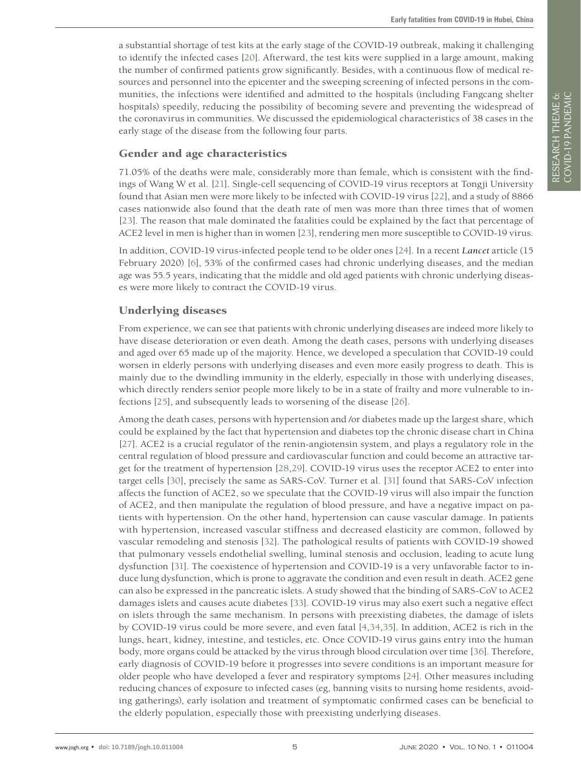a substantial shortage of test kits at the early stage of the COVID-19 outbreak, making it challenging to identify the infected cases [[20](#page-7-3)]. Afterward, the test kits were supplied in a large amount, making the number of confirmed patients grow significantly. Besides, with a continuous flow of medical resources and personnel into the epicenter and the sweeping screening of infected persons in the communities, the infections were identified and admitted to the hospitals (including Fangcang shelter hospitals) speedily, reducing the possibility of becoming severe and preventing the widespread of the coronavirus in communities. We discussed the epidemiological characteristics of 38 cases in the early stage of the disease from the following four parts.

#### Gender and age characteristics

71.05% of the deaths were male, considerably more than female, which is consistent with the findings of Wang W et al. [\[21](#page-7-4)]. Single-cell sequencing of COVID-19 virus receptors at Tongji University found that Asian men were more likely to be infected with COVID-19 virus [\[22](#page-7-5)], and a study of 8866 cases nationwide also found that the death rate of men was more than three times that of women [[23](#page-7-6)]. The reason that male dominated the fatalities could be explained by the fact that percentage of ACE2 level in men is higher than in women [[23](#page-7-6)], rendering men more susceptible to COVID-19 virus.

In addition, COVID-19 virus-infected people tend to be older ones [[24\]](#page-7-7). In a recent *Lancet* article (15 February 2020) [\[6\]](#page-6-5), 53% of the confirmed cases had chronic underlying diseases, and the median age was 55.5 years, indicating that the middle and old aged patients with chronic underlying diseases were more likely to contract the COVID-19 virus.

#### Underlying diseases

From experience, we can see that patients with chronic underlying diseases are indeed more likely to have disease deterioration or even death. Among the death cases, persons with underlying diseases and aged over 65 made up of the majority. Hence, we developed a speculation that COVID-19 could worsen in elderly persons with underlying diseases and even more easily progress to death. This is mainly due to the dwindling immunity in the elderly, especially in those with underlying diseases, which directly renders senior people more likely to be in a state of frailty and more vulnerable to infections [[25](#page-7-8)], and subsequently leads to worsening of the disease [\[26](#page-7-9)].

Among the death cases, persons with hypertension and /or diabetes made up the largest share, which could be explained by the fact that hypertension and diabetes top the chronic disease chart in China [[27](#page-7-10)]. ACE2 is a crucial regulator of the renin-angiotensin system, and plays a regulatory role in the central regulation of blood pressure and cardiovascular function and could become an attractive target for the treatment of hypertension [[28](#page-7-11)[,29\]](#page-7-12). COVID-19 virus uses the receptor ACE2 to enter into target cells [[30](#page-7-13)], precisely the same as SARS-CoV. Turner et al. [[31](#page-7-14)] found that SARS-CoV infection affects the function of ACE2, so we speculate that the COVID-19 virus will also impair the function of ACE2, and then manipulate the regulation of blood pressure, and have a negative impact on patients with hypertension. On the other hand, hypertension can cause vascular damage. In patients with hypertension, increased vascular stiffness and decreased elasticity are common, followed by vascular remodeling and stenosis [[32](#page-7-15)]. The pathological results of patients with COVID-19 showed that pulmonary vessels endothelial swelling, luminal stenosis and occlusion, leading to acute lung dysfunction [[31](#page-7-14)]. The coexistence of hypertension and COVID-19 is a very unfavorable factor to induce lung dysfunction, which is prone to aggravate the condition and even result in death. ACE2 gene can also be expressed in the pancreatic islets. A study showed that the binding of SARS-CoV to ACE2 damages islets and causes acute diabetes [[33](#page-7-16)]. COVID-19 virus may also exert such a negative effect on islets through the same mechanism. In persons with preexisting diabetes, the damage of islets by COVID-19 virus could be more severe, and even fatal [\[4](#page-6-3),[34](#page-7-17),[35](#page-7-18)]. In addition, ACE2 is rich in the lungs, heart, kidney, intestine, and testicles, etc. Once COVID-19 virus gains entry into the human body, more organs could be attacked by the virus through blood circulation over time [[36](#page-7-19)]. Therefore, early diagnosis of COVID-19 before it progresses into severe conditions is an important measure for older people who have developed a fever and respiratory symptoms [[24\]](#page-7-7). Other measures including reducing chances of exposure to infected cases (eg, banning visits to nursing home residents, avoiding gatherings), early isolation and treatment of symptomatic confirmed cases can be beneficial to the elderly population, especially those with preexisting underlying diseases.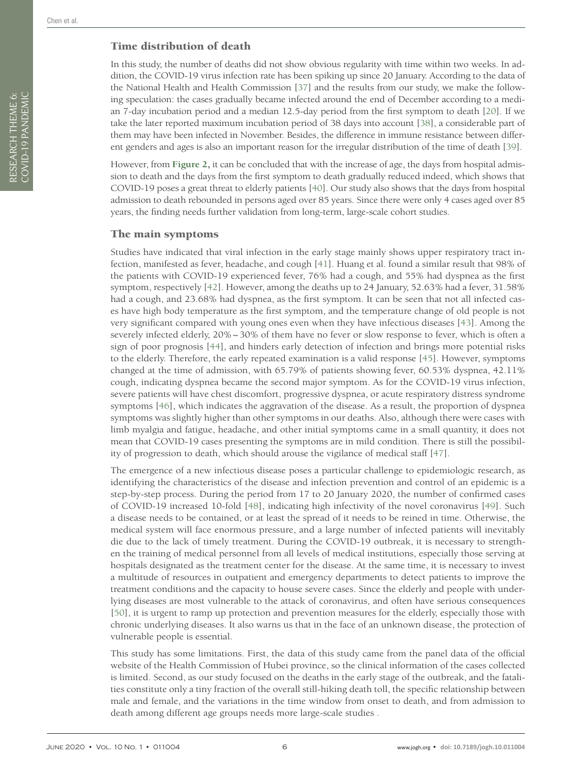### Time distribution of death

In this study, the number of deaths did not show obvious regularity with time within two weeks. In addition, the COVID-19 virus infection rate has been spiking up since 20 January. According to the data of the National Health and Health Commission [[37](#page-7-20)] and the results from our study, we make the following speculation: the cases gradually became infected around the end of December according to a median 7-day incubation period and a median 12.5-day period from the first symptom to death [[20\]](#page-7-3). If we take the later reported maximum incubation period of 38 days into account [[38](#page-7-21)], a considerable part of them may have been infected in November. Besides, the difference in immune resistance between different genders and ages is also an important reason for the irregular distribution of the time of death [[39](#page-7-22)].

However, from **[Figure 2,](#page-3-2)** it can be concluded that with the increase of age, the days from hospital admission to death and the days from the first symptom to death gradually reduced indeed, which shows that COVID-19 poses a great threat to elderly patients [\[40\]](#page-7-23). Our study also shows that the days from hospital admission to death rebounded in persons aged over 85 years. Since there were only 4 cases aged over 85 years, the finding needs further validation from long-term, large-scale cohort studies.

#### The main symptoms

Studies have indicated that viral infection in the early stage mainly shows upper respiratory tract infection, manifested as fever, headache, and cough [[41](#page-7-24)]. Huang et al. found a similar result that 98% of the patients with COVID-19 experienced fever, 76% had a cough, and 55% had dyspnea as the first symptom, respectively [\[42](#page-7-25)]. However, among the deaths up to 24 January, 52.63% had a fever, 31.58% had a cough, and 23.68% had dyspnea, as the first symptom. It can be seen that not all infected cases have high body temperature as the first symptom, and the temperature change of old people is not very significant compared with young ones even when they have infectious diseases [\[43](#page-7-26)]. Among the severely infected elderly, 20%~30% of them have no fever or slow response to fever, which is often a sign of poor prognosis [\[44\]](#page-7-27), and hinders early detection of infection and brings more potential risks to the elderly. Therefore, the early repeated examination is a valid response [[45](#page-7-28)]. However, symptoms changed at the time of admission, with 65.79% of patients showing fever, 60.53% dyspnea, 42.11% cough, indicating dyspnea became the second major symptom. As for the COVID-19 virus infection, severe patients will have chest discomfort, progressive dyspnea, or acute respiratory distress syndrome symptoms [[46](#page-8-0)], which indicates the aggravation of the disease. As a result, the proportion of dyspnea symptoms was slightly higher than other symptoms in our deaths. Also, although there were cases with limb myalgia and fatigue, headache, and other initial symptoms came in a small quantity, it does not mean that COVID-19 cases presenting the symptoms are in mild condition. There is still the possibility of progression to death, which should arouse the vigilance of medical staff [[47](#page-8-1)].

The emergence of a new infectious disease poses a particular challenge to epidemiologic research, as identifying the characteristics of the disease and infection prevention and control of an epidemic is a step-by-step process. During the period from 17 to 20 January 2020, the number of confirmed cases of COVID-19 increased 10-fold [[48](#page-8-2)], indicating high infectivity of the novel coronavirus [\[49](#page-8-3)]. Such a disease needs to be contained, or at least the spread of it needs to be reined in time. Otherwise, the medical system will face enormous pressure, and a large number of infected patients will inevitably die due to the lack of timely treatment. During the COVID-19 outbreak, it is necessary to strengthen the training of medical personnel from all levels of medical institutions, especially those serving at hospitals designated as the treatment center for the disease. At the same time, it is necessary to invest a multitude of resources in outpatient and emergency departments to detect patients to improve the treatment conditions and the capacity to house severe cases. Since the elderly and people with underlying diseases are most vulnerable to the attack of coronavirus, and often have serious consequences [[50](#page-8-4)], it is urgent to ramp up protection and prevention measures for the elderly, especially those with chronic underlying diseases. It also warns us that in the face of an unknown disease, the protection of vulnerable people is essential.

This study has some limitations. First, the data of this study came from the panel data of the official website of the Health Commission of Hubei province, so the clinical information of the cases collected is limited. Second, as our study focused on the deaths in the early stage of the outbreak, and the fatalities constitute only a tiny fraction of the overall still-hiking death toll, the specific relationship between male and female, and the variations in the time window from onset to death, and from admission to death among different age groups needs more large-scale studies .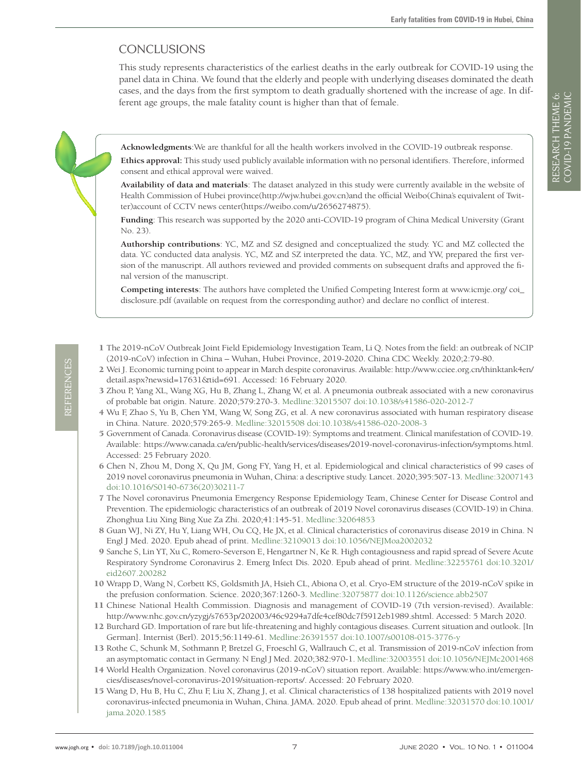## CONCLUSIONS

This study represents characteristics of the earliest deaths in the early outbreak for COVID-19 using the panel data in China. We found that the elderly and people with underlying diseases dominated the death cases, and the days from the first symptom to death gradually shortened with the increase of age. In different age groups, the male fatality count is higher than that of female.

**Acknowledgments**:We are thankful for all the health workers involved in the COVID-19 outbreak response.

**Ethics approval:** This study used publicly available information with no personal identifiers. Therefore, informed consent and ethical approval were waived.

**Availability of data and materials**: The dataset analyzed in this study were currently available in the website of Health Commission of Hubei province(http://wjw.hubei.gov.cn)and the official Weibo(China's equivalent of Twitter)account of CCTV news center(https://weibo.com/u/2656274875).

**Funding**: This research was supported by the 2020 anti-COVID-19 program of China Medical University (Grant No. 23).

**Authorship contributions**: YC, MZ and SZ designed and conceptualized the study. YC and MZ collected the data. YC conducted data analysis. YC, MZ and SZ interpreted the data. YC, MZ, and YW, prepared the first version of the manuscript. All authors reviewed and provided comments on subsequent drafts and approved the final version of the manuscript.

**Competing interests**: The authors have completed the Unified Competing Interest form at www.icmje.org/ coi\_ disclosure.pdf (available on request from the corresponding author) and declare no conflict of interest.

- <span id="page-6-0"></span>1 The 2019-nCoV Outbreak Joint Field Epidemiology Investigation Team, Li Q. Notes from the field: an outbreak of NCIP (2019-nCoV) infection in China – Wuhan, Hubei Province, 2019-2020. China CDC Weekly. 2020;2:79-80.
- <span id="page-6-1"></span>2 Wei J. Economic turning point to appear in March despite coronavirus. Available: [http://www.cciee.org.cn/thinktank4en/](http://www.cciee.org.cn/thinktank4en/detail.aspx?newsid=17631&tid=691) [detail.aspx?newsid=17631&tid=691.](http://www.cciee.org.cn/thinktank4en/detail.aspx?newsid=17631&tid=691) Accessed: 16 February 2020.
- <span id="page-6-2"></span>3 Zhou P, Yang XL, Wang XG, Hu B, Zhang L, Zhang W, et al. A pneumonia outbreak associated with a new coronavirus of probable bat origin. Nature. 2020;579:270-3[. Medline:32015507](https://www.ncbi.nlm.nih.gov/entrez/query.fcgi?cmd=Retrieve&db=PubMed&list_uids=32015507&dopt=Abstract) [doi:10.1038/s41586-020-2012-7](https://doi.org/10.1038/s41586-020-2012-7)
- <span id="page-6-3"></span>4 Wu F, Zhao S, Yu B, Chen YM, Wang W, Song ZG, et al. A new coronavirus associated with human respiratory disease in China. Nature. 2020;579:265-9[. Medline:32015508](https://www.ncbi.nlm.nih.gov/entrez/query.fcgi?cmd=Retrieve&db=PubMed&list_uids=32015508&dopt=Abstract) [doi:10.1038/s41586-020-2008-3](https://doi.org/10.1038/s41586-020-2008-3)
- <span id="page-6-4"></span>5 Government of Canada. Coronavirus disease (COVID-19): Symptoms and treatment. Clinical manifestation of COVID-19. Available: https://www.canada.ca/en/public-health/services/diseases/2019-novel-coronavirus-infection/symptoms.html. Accessed: 25 February 2020.
- <span id="page-6-5"></span>6 Chen N, Zhou M, Dong X, Qu JM, Gong FY, Yang H, et al. Epidemiological and clinical characteristics of 99 cases of 2019 novel coronavirus pneumonia in Wuhan, China: a descriptive study. Lancet. 2020;395:507-13[. Medline:32007143](https://www.ncbi.nlm.nih.gov/entrez/query.fcgi?cmd=Retrieve&db=PubMed&list_uids=32007143&dopt=Abstract) [doi:10.1016/S0140-6736\(20\)30211-7](https://doi.org/10.1016/S0140-6736(20)30211-7)
- <span id="page-6-6"></span>7 The Novel coronavirus Pneumonia Emergency Response Epidemiology Team, Chinese Center for Disease Control and Prevention. The epidemiologic characteristics of an outbreak of 2019 Novel coronavirus diseases (COVID-19) in China. Zhonghua Liu Xing Bing Xue Za Zhi. 2020;41:145-51[. Medline:32064853](https://www.ncbi.nlm.nih.gov/entrez/query.fcgi?cmd=Retrieve&db=PubMed&list_uids=32064853&dopt=Abstract)
- <span id="page-6-7"></span>8 Guan WJ, Ni ZY, Hu Y, Liang WH, Ou CQ, He JX, et al. Clinical characteristics of coronavirus disease 2019 in China. N Engl J Med. 2020. Epub ahead of print. [Medline:32109013](https://www.ncbi.nlm.nih.gov/entrez/query.fcgi?cmd=Retrieve&db=PubMed&list_uids=32109013&dopt=Abstract) [doi:10.1056/NEJMoa2002032](https://doi.org/10.1056/NEJMoa2002032)
- <span id="page-6-8"></span>9 Sanche S, Lin YT, Xu C, Romero-Severson E, Hengartner N, Ke R. High contagiousness and rapid spread of Severe Acute Respiratory Syndrome Coronavirus 2. Emerg Infect Dis. 2020. Epub ahead of print. [Medline:32255761](https://www.ncbi.nlm.nih.gov/entrez/query.fcgi?cmd=Retrieve&db=PubMed&list_uids=32255761&dopt=Abstract) [doi:10.3201/](https://doi.org/10.3201/eid2607.200282) [eid2607.200282](https://doi.org/10.3201/eid2607.200282)
- <span id="page-6-9"></span>10 Wrapp D, Wang N, Corbett KS, Goldsmith JA, Hsieh CL, Abiona O, et al. Cryo-EM structure of the 2019-nCoV spike in the prefusion conformation. Science. 2020;367:1260-3[. Medline:32075877](https://www.ncbi.nlm.nih.gov/entrez/query.fcgi?cmd=Retrieve&db=PubMed&list_uids=32075877&dopt=Abstract) [doi:10.1126/science.abb2507](https://doi.org/10.1126/science.abb2507)
- <span id="page-6-10"></span>11 Chinese National Health Commission. Diagnosis and management of COVID-19 (7th version-revised). Available: [http://www.nhc.gov.cn/yzygj/s7653p/202003/46c9294a7dfe4cef80dc7f5912eb1989.shtml.](http://www.nhc.gov.cn/yzygj/s7653p/202003/46c9294a7dfe4cef80dc7f5912eb1989.shtml) Accessed: 5 March 2020.
- <span id="page-6-11"></span>12 Burchard GD. Importation of rare but life-threatening and highly contagious diseases. Current situation and outlook. [In German]. Internist (Berl). 2015;56:1149-61. [Medline:26391557](https://www.ncbi.nlm.nih.gov/entrez/query.fcgi?cmd=Retrieve&db=PubMed&list_uids=26391557&dopt=Abstract) [doi:10.1007/s00108-015-3776-y](https://doi.org/10.1007/s00108-015-3776-y)
- <span id="page-6-12"></span>13 Rothe C, Schunk M, Sothmann P, Bretzel G, Froeschl G, Wallrauch C, et al. Transmission of 2019-nCoV infection from an asymptomatic contact in Germany. N Engl J Med. 2020;382:970-1[. Medline:32003551](https://www.ncbi.nlm.nih.gov/entrez/query.fcgi?cmd=Retrieve&db=PubMed&list_uids=32003551&dopt=Abstract) [doi:10.1056/NEJMc2001468](https://doi.org/10.1056/NEJMc2001468)
- <span id="page-6-13"></span>14 World Health Organization. Novel coronavirus (2019-nCoV) situation report. Available: [https://www.who.int/emergen](https://www.who.int/emergencies/diseases/novel-coronavirus-2019/situation-reports/)[cies/diseases/novel-coronavirus-2019/situation-reports/](https://www.who.int/emergencies/diseases/novel-coronavirus-2019/situation-reports/). Accessed: 20 February 2020.
- <span id="page-6-14"></span>15 Wang D, Hu B, Hu C, Zhu F, Liu X, Zhang J, et al. Clinical characteristics of 138 hospitalized patients with 2019 novel coronavirus-infected pneumonia in Wuhan, China. JAMA. 2020. Epub ahead of print. [Medline:32031570](https://www.ncbi.nlm.nih.gov/entrez/query.fcgi?cmd=Retrieve&db=PubMed&list_uids=32031570&dopt=Abstract) [doi:10.1001/](https://doi.org/10.1001/jama.2020.1585) [jama.2020.1585](https://doi.org/10.1001/jama.2020.1585)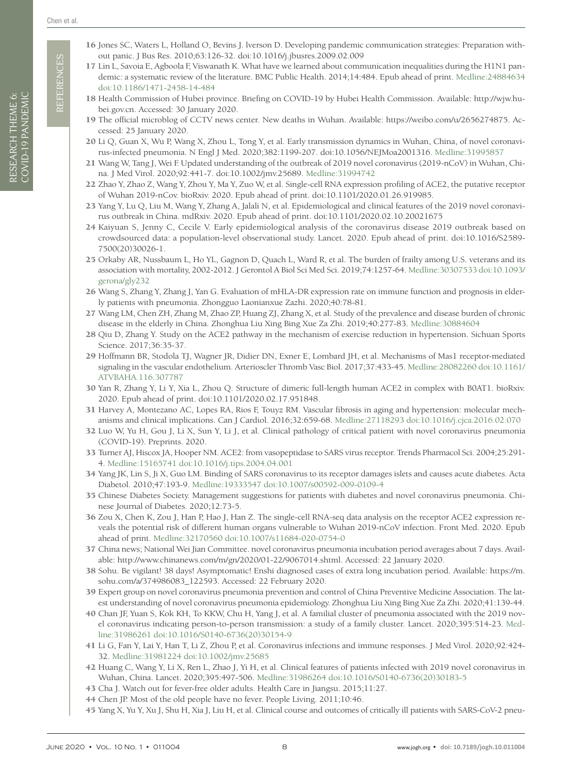REFERENCES REFERENCES

- <span id="page-7-1"></span><span id="page-7-0"></span>17 Lin L, Savoia E, Agboola F, Viswanath K. What have we learned about communication inequalities during the H1N1 pandemic: a systematic review of the literature. BMC Public Health. 2014;14:484. Epub ahead of print[. Medline:24884634](https://www.ncbi.nlm.nih.gov/entrez/query.fcgi?cmd=Retrieve&db=PubMed&list_uids=24884634&dopt=Abstract)  [doi:10.1186/1471-2458-14-484](https://doi.org/10.1186/1471-2458-14-484)
- <span id="page-7-2"></span>18 Health Commission of Hubei province. Briefing on COVID-19 by Hubei Health Commission. Available: [http://wjw.hu](http://wjw.hubei.gov.cn)[bei.gov.cn](http://wjw.hubei.gov.cn). Accessed: 30 January 2020.
- 19 The official microblog of CCTV news center. New deaths in Wuhan. Available: [https://weibo.com/u/2656274875.](https://weibo.com/u/2656274875) Accessed: 25 January 2020.
- <span id="page-7-3"></span>20 Li Q, Guan X, Wu P, Wang X, Zhou L, Tong Y, et al. Early transmission dynamics in Wuhan, China, of novel coronavirus-infected pneumonia. N Engl J Med. 2020;382:1199-207. [doi:10.1056/NEJMoa2001316](https://doi.org/10.1056/NEJMoa2001316)[. Medline:31995857](https://www.ncbi.nlm.nih.gov/entrez/query.fcgi?cmd=Retrieve&db=PubMed&list_uids=31995857&dopt=Abstract)
- <span id="page-7-4"></span>21 Wang W, Tang J, Wei F. Updated understanding of the outbreak of 2019 novel coronavirus (2019-nCoV) in Wuhan, China. J Med Virol. 2020;92:441-7. [doi:10.1002/jmv.25689](https://doi.org/10.1002/jmv.25689)[. Medline:31994742](https://www.ncbi.nlm.nih.gov/entrez/query.fcgi?cmd=Retrieve&db=PubMed&list_uids=31994742&dopt=Abstract)
- <span id="page-7-5"></span>22 Zhao Y, Zhao Z, Wang Y, Zhou Y, Ma Y, Zuo W, et al. Single-cell RNA expression profiling of ACE2, the putative receptor of Wuhan 2019-nCov. bioRxiv. 2020. Epub ahead of print. [doi:10.1101/2020.01.26.919985.](https://doi.org/10.1101/2020.01.26.919985)
- <span id="page-7-6"></span>23 Yang Y, Lu Q, Liu M, Wang Y, Zhang A, Jalali N, et al. Epidemiological and clinical features of the 2019 novel coronavirus outbreak in China. mdRxiv. 2020. Epub ahead of print. [doi:10.1101/2020.02.10.20021675](https://doi.org/10.1101/2020.02.10.20021675)
- <span id="page-7-7"></span>24 Kaiyuan S, Jenny C, Cecile V. Early epidemiological analysis of the coronavirus disease 2019 outbreak based on crowdsourced data: a population-level observational study. Lancet. 2020. Epub ahead of print. [doi:10.1016/S2589-](https://doi.org/10.1016/S2589-7500(20)30026-1) [7500\(20\)30026-1.](https://doi.org/10.1016/S2589-7500(20)30026-1)
- <span id="page-7-8"></span>25 Orkaby AR, Nussbaum L, Ho YL, Gagnon D, Quach L, Ward R, et al. The burden of frailty among U.S. veterans and its association with mortality, 2002-2012. J Gerontol A Biol Sci Med Sci. 2019;74:1257-64[. Medline:30307533](https://www.ncbi.nlm.nih.gov/entrez/query.fcgi?cmd=Retrieve&db=PubMed&list_uids=30307533&dopt=Abstract) [doi:10.1093/](https://doi.org/10.1093/gerona/gly232) [gerona/gly232](https://doi.org/10.1093/gerona/gly232)
- <span id="page-7-9"></span>26 Wang S, Zhang Y, Zhang J, Yan G. Evaluation of mHLA-DR expression rate on immune function and prognosis in elderly patients with pneumonia. Zhongguo Laonianxue Zazhi. 2020;40:78-81.
- <span id="page-7-10"></span>27 Wang LM, Chen ZH, Zhang M, Zhao ZP, Huang ZJ, Zhang X, et al. Study of the prevalence and disease burden of chronic disease in the elderly in China. Zhonghua Liu Xing Bing Xue Za Zhi. 2019;40:277-83. [Medline:30884604](https://www.ncbi.nlm.nih.gov/entrez/query.fcgi?cmd=Retrieve&db=PubMed&list_uids=30884604&dopt=Abstract)
- <span id="page-7-11"></span>28 Qiu D, Zhang Y. Study on the ACE2 pathway in the mechanism of exercise reduction in hypertension. Sichuan Sports Science. 2017;36:35-37.
- <span id="page-7-12"></span>29 Hoffmann BR, Stodola TJ, Wagner JR, Didier DN, Exner E, Lombard JH, et al. Mechanisms of Mas1 receptor-mediated signaling in the vascular endothelium. Arterioscler Thromb Vasc Biol. 2017;37:433-45[. Medline:28082260](https://www.ncbi.nlm.nih.gov/entrez/query.fcgi?cmd=Retrieve&db=PubMed&list_uids=28082260&dopt=Abstract) [doi:10.1161/](https://doi.org/10.1161/ATVBAHA.116.307787) [ATVBAHA.116.307787](https://doi.org/10.1161/ATVBAHA.116.307787)
- <span id="page-7-13"></span>30 Yan R, Zhang Y, Li Y, Xia L, Zhou Q. Structure of dimeric full-length human ACE2 in complex with B0AT1. bioRxiv. 2020. Epub ahead of print. [doi:10.1101/2020.02.17.951848.](https://doi.org/10.1101/2020.02.17.951848)
- <span id="page-7-14"></span>31 Harvey A, Montezano AC, Lopes RA, Rios F, Touyz RM. Vascular fibrosis in aging and hypertension: molecular mechanisms and clinical implications. Can J Cardiol. 2016;32:659-68[. Medline:27118293](https://www.ncbi.nlm.nih.gov/entrez/query.fcgi?cmd=Retrieve&db=PubMed&list_uids=27118293&dopt=Abstract) [doi:10.1016/j.cjca.2016.02.070](https://doi.org/10.1016/j.cjca.2016.02.070)
- <span id="page-7-15"></span>32 Luo W, Yu H, Gou J, Li X, Sun Y, Li J, et al. Clinical pathology of critical patient with novel coronavirus pneumonia (COVID-19). Preprints. 2020.
- <span id="page-7-16"></span>33 Turner AJ, Hiscox JA, Hooper NM. ACE2: from vasopeptidase to SARS virus receptor. Trends Pharmacol Sci. 2004;25:291- 4. [Medline:15165741](https://www.ncbi.nlm.nih.gov/entrez/query.fcgi?cmd=Retrieve&db=PubMed&list_uids=15165741&dopt=Abstract) [doi:10.1016/j.tips.2004.04.001](https://doi.org/10.1016/j.tips.2004.04.001)
- <span id="page-7-17"></span>34 Yang JK, Lin S, Ji X, Guo LM. Binding of SARS coronavirus to its receptor damages islets and causes acute diabetes. Acta Diabetol. 2010;47:193-9. [Medline:19333547](https://www.ncbi.nlm.nih.gov/entrez/query.fcgi?cmd=Retrieve&db=PubMed&list_uids=19333547&dopt=Abstract) [doi:10.1007/s00592-009-0109-4](https://doi.org/10.1007/s00592-009-0109-4)
- <span id="page-7-18"></span>35 Chinese Diabetes Society. Management suggestions for patients with diabetes and novel coronavirus pneumonia. Chinese Journal of Diabetes. 2020;12:73-5.
- <span id="page-7-19"></span>36 Zou X, Chen K, Zou J, Han P, Hao J, Han Z. The single-cell RNA-seq data analysis on the receptor ACE2 expression reveals the potential risk of different human organs vulnerable to Wuhan 2019-nCoV infection. Front Med. 2020. Epub ahead of print. [Medline:32170560](https://www.ncbi.nlm.nih.gov/entrez/query.fcgi?cmd=Retrieve&db=PubMed&list_uids=32170560&dopt=Abstract) [doi:10.1007/s11684-020-0754-0](https://doi.org/10.1007/s11684-020-0754-0)
- <span id="page-7-20"></span>37 China news; National Wei Jian Committee. novel coronavirus pneumonia incubation period averages about 7 days. Available: http://www.chinanews.com/m/gn/2020/01-22/9067014.shtml. Accessed: 22 January 2020.
- <span id="page-7-21"></span>38 Sohu. Be vigilant! 38 days! Asymptomatic! Enshi diagnosed cases of extra long incubation period. Available: [https://m.](https://m.sohu.com/a/374986083_122593) [sohu.com/a/374986083\\_122593.](https://m.sohu.com/a/374986083_122593) Accessed: 22 February 2020.
- <span id="page-7-22"></span>39 Expert group on novel coronavirus pneumonia prevention and control of China Preventive Medicine Association. The latest understanding of novel coronavirus pneumonia epidemiology. Zhonghua Liu Xing Bing Xue Za Zhi. 2020;41:139-44.
- <span id="page-7-23"></span>40 Chan JF, Yuan S, Kok KH, To KKW, Chu H, Yang J, et al. A familial cluster of pneumonia associated with the 2019 novel coronavirus indicating person-to-person transmission: a study of a family cluster. Lancet. 2020;395:514-23. [Med](https://www.ncbi.nlm.nih.gov/entrez/query.fcgi?cmd=Retrieve&db=PubMed&list_uids=31986261&dopt=Abstract)[line:31986261](https://www.ncbi.nlm.nih.gov/entrez/query.fcgi?cmd=Retrieve&db=PubMed&list_uids=31986261&dopt=Abstract) [doi:10.1016/S0140-6736\(20\)30154-9](https://doi.org/10.1016/S0140-6736(20)30154-9)
- <span id="page-7-24"></span>41 Li G, Fan Y, Lai Y, Han T, Li Z, Zhou P, et al. Coronavirus infections and immune responses. J Med Virol. 2020;92:424- 32. [Medline:31981224](https://www.ncbi.nlm.nih.gov/entrez/query.fcgi?cmd=Retrieve&db=PubMed&list_uids=31981224&dopt=Abstract) [doi:10.1002/jmv.25685](https://doi.org/10.1002/jmv.25685)
- <span id="page-7-25"></span>42 Huang C, Wang Y, Li X, Ren L, Zhao J, Yi H, et al. Clinical features of patients infected with 2019 novel coronavirus in Wuhan, China. Lancet. 2020;395:497-506[. Medline:31986264](https://www.ncbi.nlm.nih.gov/entrez/query.fcgi?cmd=Retrieve&db=PubMed&list_uids=31986264&dopt=Abstract) [doi:10.1016/S0140-6736\(20\)30183-5](https://doi.org/10.1016/S0140-6736(20)30183-5)
- <span id="page-7-26"></span>43 Cha J. Watch out for fever-free older adults. Health Care in Jiangsu. 2015;11:27.
- <span id="page-7-27"></span>44 Chen JP. Most of the old people have no fever. People Living. 2011;10:46.
- <span id="page-7-28"></span>45 Yang X, Yu Y, Xu J, Shu H, Xia J, Liu H, et al. Clinical course and outcomes of critically ill patients with SARS-CoV-2 pneu-